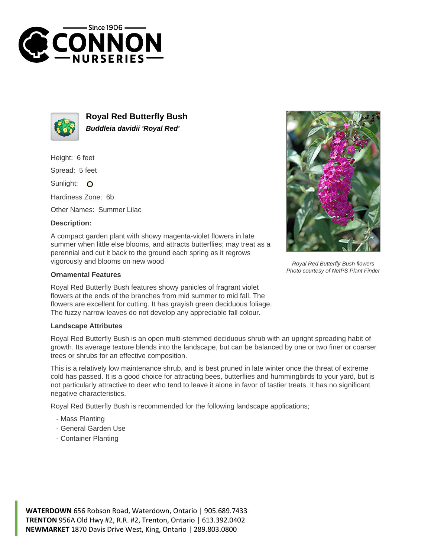



**Royal Red Butterfly Bush Buddleia davidii 'Royal Red'**

Height: 6 feet

Spread: 5 feet

Sunlight: O

Hardiness Zone: 6b

Other Names: Summer Lilac

## **Description:**

A compact garden plant with showy magenta-violet flowers in late summer when little else blooms, and attracts butterflies; may treat as a perennial and cut it back to the ground each spring as it regrows vigorously and blooms on new wood

## **Ornamental Features**

Royal Red Butterfly Bush features showy panicles of fragrant violet flowers at the ends of the branches from mid summer to mid fall. The flowers are excellent for cutting. It has grayish green deciduous foliage. The fuzzy narrow leaves do not develop any appreciable fall colour.

## **Landscape Attributes**

Royal Red Butterfly Bush is an open multi-stemmed deciduous shrub with an upright spreading habit of growth. Its average texture blends into the landscape, but can be balanced by one or two finer or coarser trees or shrubs for an effective composition.

This is a relatively low maintenance shrub, and is best pruned in late winter once the threat of extreme cold has passed. It is a good choice for attracting bees, butterflies and hummingbirds to your yard, but is not particularly attractive to deer who tend to leave it alone in favor of tastier treats. It has no significant negative characteristics.

Royal Red Butterfly Bush is recommended for the following landscape applications;

- Mass Planting
- General Garden Use
- Container Planting



Royal Red Butterfly Bush flowers Photo courtesy of NetPS Plant Finder